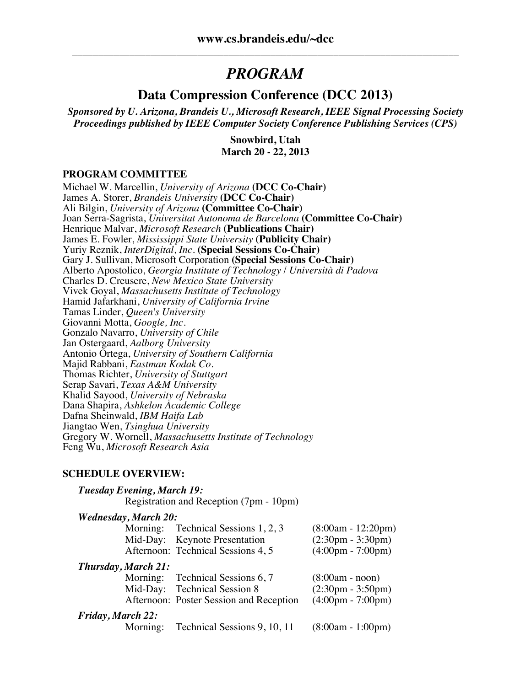# *PROGRAM*

## **Data Compression Conference (DCC 2013)**

*Sponsored by U. Arizona, Brandeis U., Microsoft Research, IEEE Signal Processing Society Proceedings published by IEEE Computer Society Conference Publishing Services (CPS)*

> **Snowbird, Utah March 20 - 22, 2013**

#### **PROGRAM COMMITTEE**

Michael W. Marcellin, *University of Arizona* **(DCC Co-Chair)** James A. Storer, *Brandeis University* **(DCC Co-Chair)** Ali Bilgin, *University of Arizona* **(Committee Co-Chair)** Joan Serra-Sagrista, *Universitat Autonoma de Barcelona* **(Committee Co-Chair)** Henrique Malvar, *Microsoft Research* **(Publications Chair)** James E. Fowler, *Mississippi State University* **(Publicity Chair)** Yuriy Reznik, *InterDigital, Inc.* **(Special Sessions Co-Chair)** Gary J. Sullivan, Microsoft Corporation **(Special Sessions Co-Chair)** Alberto Apostolico, *Georgia Institute of Technology* / *Università di Padova* Charles D. Creusere, *New Mexico State University* Vivek Goyal, *Massachusetts Institute of Technology* Hamid Jafarkhani, *University of California Irvine* Tamas Linder, *Queen's University* Giovanni Motta, *Google, Inc.* Gonzalo Navarro, *University of Chile* Jan Ostergaard, *Aalborg University* Antonio Ortega, *University of Southern California* Majid Rabbani, *Eastman Kodak Co.* Thomas Richter, *University of Stuttgart* Serap Savari, *Texas A&M University* Khalid Sayood, *University of Nebraska* Dana Shapira, *Ashkelon Academic College* Dafna Sheinwald, *IBM Haifa Lab* Jiangtao Wen, *Tsinghua University* Gregory W. Wornell, *Massachusetts Institute of Technology* Feng Wu, *Microsoft Research Asia*

#### **SCHEDULE OVERVIEW:**

| <b>Tuesday Evening, March 19:</b> | Registration and Reception (7pm - 10pm) |                                     |
|-----------------------------------|-----------------------------------------|-------------------------------------|
| <b>Wednesday, March 20:</b>       |                                         |                                     |
|                                   | Morning: Technical Sessions 1, 2, 3     | $(8:00am - 12:20pm)$                |
|                                   | Mid-Day: Keynote Presentation           | $(2:30 \text{pm} - 3:30 \text{pm})$ |
|                                   | Afternoon: Technical Sessions 4, 5      | $(4:00 \text{pm} - 7:00 \text{pm})$ |
| <b>Thursday, March 21:</b>        |                                         |                                     |
|                                   | Morning: Technical Sessions 6, 7        | $(8:00am - noon)$                   |
|                                   | Mid-Day: Technical Session 8            | $(2:30 \text{pm} - 3:50 \text{pm})$ |
|                                   | Afternoon: Poster Session and Reception | $(4:00 \text{pm} - 7:00 \text{pm})$ |
| <b>Friday, March 22:</b>          |                                         |                                     |
| Morning:                          | Technical Sessions 9, 10, 11            | $(8:00am - 1:00pm)$                 |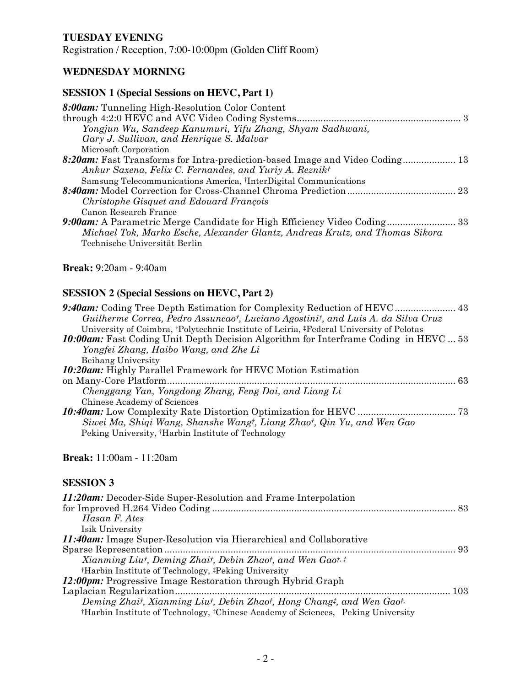### **TUESDAY EVENING**

Registration / Reception, 7:00-10:00pm (Golden Cliff Room)

### **WEDNESDAY MORNING**

### **SESSION 1 (Special Sessions on HEVC, Part 1)**

| 8:00am: Tunneling High-Resolution Color Content                              |  |
|------------------------------------------------------------------------------|--|
|                                                                              |  |
| Yongjun Wu, Sandeep Kanumuri, Yifu Zhang, Shyam Sadhwani,                    |  |
| Gary J. Sullivan, and Henrique S. Malvar                                     |  |
| Microsoft Corporation                                                        |  |
| 8:20am: Fast Transforms for Intra-prediction-based Image and Video Coding 13 |  |
| Ankur Saxena, Felix C. Fernandes, and Yuriy A. Reznikt                       |  |
| Samsung Telecommunications America, †InterDigital Communications             |  |
|                                                                              |  |
| Christophe Gisquet and Edouard François                                      |  |
| Canon Research France                                                        |  |
| 9:00am: A Parametric Merge Candidate for High Efficiency Video Coding 33     |  |
| Michael Tok, Marko Esche, Alexander Glantz, Andreas Krutz, and Thomas Sikora |  |
| Technische Universität Berlin                                                |  |

#### **Break:** 9:20am - 9:40am

### **SESSION 2 (Special Sessions on HEVC, Part 2)**

| 9:40am: Coding Tree Depth Estimation for Complexity Reduction of HEVC  43                   |
|---------------------------------------------------------------------------------------------|
|                                                                                             |
|                                                                                             |
| <b>10:00am:</b> Fast Coding Unit Depth Decision Algorithm for Interframe Coding in HEVC  53 |
|                                                                                             |
|                                                                                             |
|                                                                                             |
|                                                                                             |
|                                                                                             |
|                                                                                             |
|                                                                                             |
|                                                                                             |
|                                                                                             |
|                                                                                             |

### **Break:** 11:00am - 11:20am

| <b>11:20am:</b> Decoder-Side Super-Resolution and Frame Interpolation                                    |  |
|----------------------------------------------------------------------------------------------------------|--|
|                                                                                                          |  |
| Hasan F. Ates                                                                                            |  |
| Isik University                                                                                          |  |
| <i>11:40am:</i> Image Super-Resolution via Hierarchical and Collaborative                                |  |
|                                                                                                          |  |
| Xianming Liut, Deming Zhait, Debin Zhaot, and Wen Gaot. <sup>†</sup>                                     |  |
| <sup>†</sup> Harbin Institute of Technology, <sup>‡</sup> Peking University                              |  |
| <b>12:00pm:</b> Progressive Image Restoration through Hybrid Graph                                       |  |
|                                                                                                          |  |
| Deming Zhait, Xianming Liut, Debin Zhaot, Hong Changt, and Wen Gaot.                                     |  |
| <sup>†</sup> Harbin Institute of Technology, <sup>‡</sup> Chinese Academy of Sciences, Peking University |  |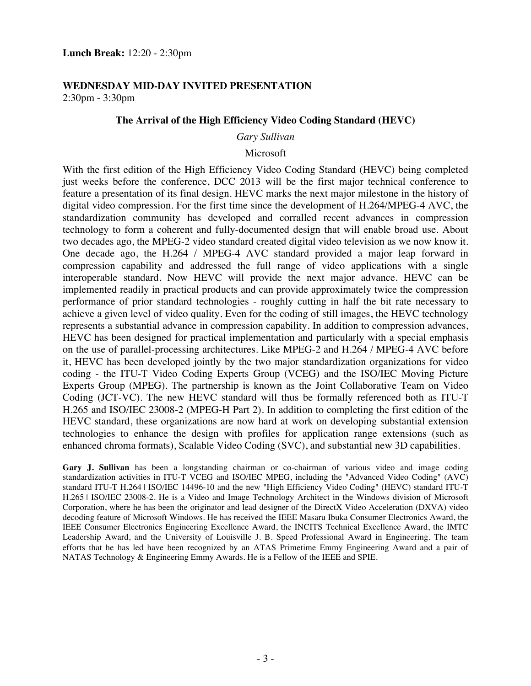#### **WEDNESDAY MID-DAY INVITED PRESENTATION** 2:30pm - 3:30pm

#### **The Arrival of the High Efficiency Video Coding Standard (HEVC)**

#### *Gary Sullivan*

#### Microsoft

With the first edition of the High Efficiency Video Coding Standard (HEVC) being completed just weeks before the conference, DCC 2013 will be the first major technical conference to feature a presentation of its final design. HEVC marks the next major milestone in the history of digital video compression. For the first time since the development of H.264/MPEG-4 AVC, the standardization community has developed and corralled recent advances in compression technology to form a coherent and fully-documented design that will enable broad use. About two decades ago, the MPEG-2 video standard created digital video television as we now know it. One decade ago, the H.264 / MPEG-4 AVC standard provided a major leap forward in compression capability and addressed the full range of video applications with a single interoperable standard. Now HEVC will provide the next major advance. HEVC can be implemented readily in practical products and can provide approximately twice the compression performance of prior standard technologies - roughly cutting in half the bit rate necessary to achieve a given level of video quality. Even for the coding of still images, the HEVC technology represents a substantial advance in compression capability. In addition to compression advances, HEVC has been designed for practical implementation and particularly with a special emphasis on the use of parallel-processing architectures. Like MPEG-2 and H.264 / MPEG-4 AVC before it, HEVC has been developed jointly by the two major standardization organizations for video coding - the ITU-T Video Coding Experts Group (VCEG) and the ISO/IEC Moving Picture Experts Group (MPEG). The partnership is known as the Joint Collaborative Team on Video Coding (JCT-VC). The new HEVC standard will thus be formally referenced both as ITU-T H.265 and ISO/IEC 23008-2 (MPEG-H Part 2). In addition to completing the first edition of the HEVC standard, these organizations are now hard at work on developing substantial extension technologies to enhance the design with profiles for application range extensions (such as enhanced chroma formats), Scalable Video Coding (SVC), and substantial new 3D capabilities.

**Gary J. Sullivan** has been a longstanding chairman or co-chairman of various video and image coding standardization activities in ITU-T VCEG and ISO/IEC MPEG, including the "Advanced Video Coding" (AVC) standard ITU-T H.264 | ISO/IEC 14496-10 and the new "High Efficiency Video Coding" (HEVC) standard ITU-T H.265 | ISO/IEC 23008-2. He is a Video and Image Technology Architect in the Windows division of Microsoft Corporation, where he has been the originator and lead designer of the DirectX Video Acceleration (DXVA) video decoding feature of Microsoft Windows. He has received the IEEE Masaru Ibuka Consumer Electronics Award, the IEEE Consumer Electronics Engineering Excellence Award, the INCITS Technical Excellence Award, the IMTC Leadership Award, and the University of Louisville J. B. Speed Professional Award in Engineering. The team efforts that he has led have been recognized by an ATAS Primetime Emmy Engineering Award and a pair of NATAS Technology & Engineering Emmy Awards. He is a Fellow of the IEEE and SPIE.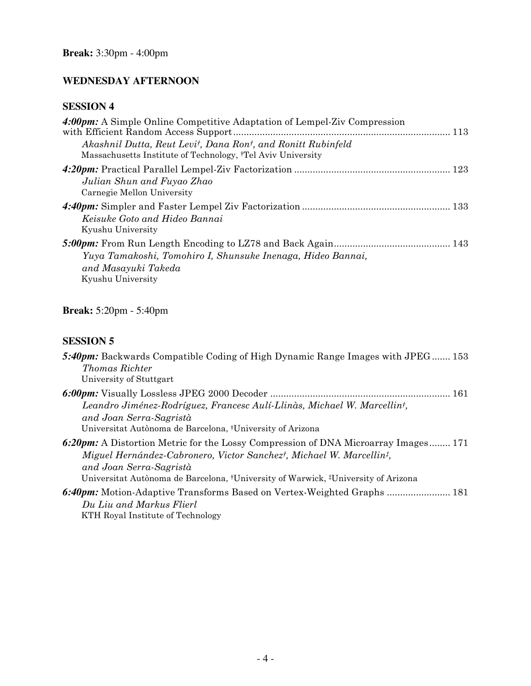### **WEDNESDAY AFTERNOON**

## **SESSION 4**

| 4:00pm: A Simple Online Competitive Adaptation of Lempel-Ziv Compression                                                                                         |
|------------------------------------------------------------------------------------------------------------------------------------------------------------------|
| Akashnil Dutta, Reut Levi <sup>†</sup> , Dana Ron <sup>†</sup> , and Ronitt Rubinfeld<br>Massachusetts Institute of Technology, <sup>†</sup> Tel Aviv University |
| Julian Shun and Fuyao Zhao<br>Carnegie Mellon University                                                                                                         |
| Keisuke Goto and Hideo Bannai<br>Kyushu University                                                                                                               |
| Yuya Tamakoshi, Tomohiro I, Shunsuke Inenaga, Hideo Bannai,<br>and Masayuki Takeda<br>Kyushu University                                                          |

## **Break:** 5:20pm - 5:40pm

| 5:40pm: Backwards Compatible Coding of High Dynamic Range Images with JPEG 153<br><i>Thomas Richter</i>                                                                                                                                                                   |
|---------------------------------------------------------------------------------------------------------------------------------------------------------------------------------------------------------------------------------------------------------------------------|
| University of Stuttgart                                                                                                                                                                                                                                                   |
| Leandro Jiménez-Rodríguez, Francesc Aulí-Llinàs, Michael W. Marcellin <sup>†</sup> ,<br>and Joan Serra-Sagristà<br>Universitat Autònoma de Barcelona, †University of Arizona                                                                                              |
| 6:20pm: A Distortion Metric for the Lossy Compression of DNA Microarray Images 171<br>Miguel Hernández-Cabronero, Victor Sanchezt, Michael W. Marcellint,<br>and Joan Serra-Sagristà<br>Universitat Autònoma de Barcelona, †University of Warwick, ‡University of Arizona |
| 6:40pm: Motion-Adaptive Transforms Based on Vertex-Weighted Graphs  181<br>Du Liu and Markus Flierl<br>KTH Royal Institute of Technology                                                                                                                                  |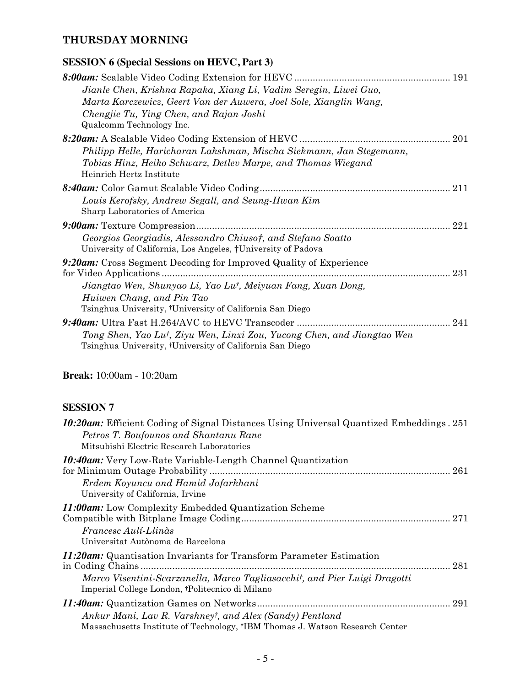## **THURSDAY MORNING**

## **SESSION 6 (Special Sessions on HEVC, Part 3)**

|                                                                                                                                                                                                                                        | 191 |
|----------------------------------------------------------------------------------------------------------------------------------------------------------------------------------------------------------------------------------------|-----|
| Jianle Chen, Krishna Rapaka, Xiang Li, Vadim Seregin, Liwei Guo,<br>Marta Karczewicz, Geert Van der Auwera, Joel Sole, Xianglin Wang,<br>Chengjie Tu, Ying Chen, and Rajan Joshi<br>Qualcomm Technology Inc.                           |     |
| Philipp Helle, Haricharan Lakshman, Mischa Siekmann, Jan Stegemann,<br>Tobias Hinz, Heiko Schwarz, Detlev Marpe, and Thomas Wiegand<br>Heinrich Hertz Institute                                                                        | 201 |
| Louis Kerofsky, Andrew Segall, and Seung-Hwan Kim<br>Sharp Laboratories of America                                                                                                                                                     | 211 |
| Georgios Georgiadis, Alessandro Chiusot, and Stefano Soatto<br>University of California, Los Angeles, †University of Padova                                                                                                            | 221 |
| 9:20am: Cross Segment Decoding for Improved Quality of Experience<br>Jiangtao Wen, Shunyao Li, Yao Lu <sup>†</sup> , Meiyuan Fang, Xuan Dong,<br>Huiwen Chang, and Pin Tao<br>Tsinghua University, †University of California San Diego | 231 |
| Tong Shen, Yao Lut, Ziyu Wen, Linxi Zou, Yucong Chen, and Jiangtao Wen<br>Tsinghua University, <sup>†</sup> University of California San Diego                                                                                         | 241 |

### **Break:** 10:00am - 10:20am

| <b>10:20am:</b> Efficient Coding of Signal Distances Using Universal Quantized Embeddings. 251<br>Petros T. Boufounos and Shantanu Rane<br>Mitsubishi Electric Research Laboratories                       |     |
|------------------------------------------------------------------------------------------------------------------------------------------------------------------------------------------------------------|-----|
| <b>10:40am:</b> Very Low-Rate Variable-Length Channel Quantization<br>Erdem Koyuncu and Hamid Jafarkhani<br>University of California, Irvine                                                               |     |
| <b>11:00am:</b> Low Complexity Embedded Quantization Scheme<br>Francesc Aulí-Llinàs<br>Universitat Autònoma de Barcelona                                                                                   |     |
| <i>11:20am:</i> Quantisation Invariants for Transform Parameter Estimation<br>Marco Visentini-Scarzanella, Marco Tagliasacchit, and Pier Luigi Dragotti<br>Imperial College London, †Politecnico di Milano | 281 |
| Ankur Mani, Lav R. Varshneyt, and Alex (Sandy) Pentland<br>Massachusetts Institute of Technology, †IBM Thomas J. Watson Research Center                                                                    | 291 |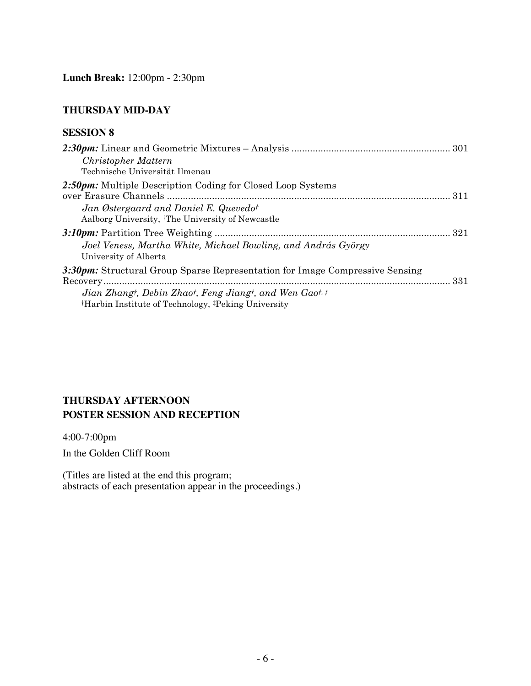### **THURSDAY MID-DAY**

### **SESSION 8**

| Christopher Mattern<br>Technische Universität Ilmenau                                                                                                                                                                 |  |
|-----------------------------------------------------------------------------------------------------------------------------------------------------------------------------------------------------------------------|--|
| 2:50pm: Multiple Description Coding for Closed Loop Systems<br>Jan Østergaard and Daniel E. Quevedot<br>Aalborg University, <sup>†</sup> The University of Newcastle                                                  |  |
| Joel Veness, Martha White, Michael Bowling, and András György<br>University of Alberta                                                                                                                                |  |
| 3:30pm: Structural Group Sparse Representation for Image Compressive Sensing<br>Jian Zhangt, Debin Zhaot, Feng Jiangt, and Wen Gaot, #<br><sup>†</sup> Harbin Institute of Technology, <sup>‡</sup> Peking University |  |

## **THURSDAY AFTERNOON POSTER SESSION AND RECEPTION**

4:00-7:00pm

In the Golden Cliff Room

(Titles are listed at the end this program; abstracts of each presentation appear in the proceedings.)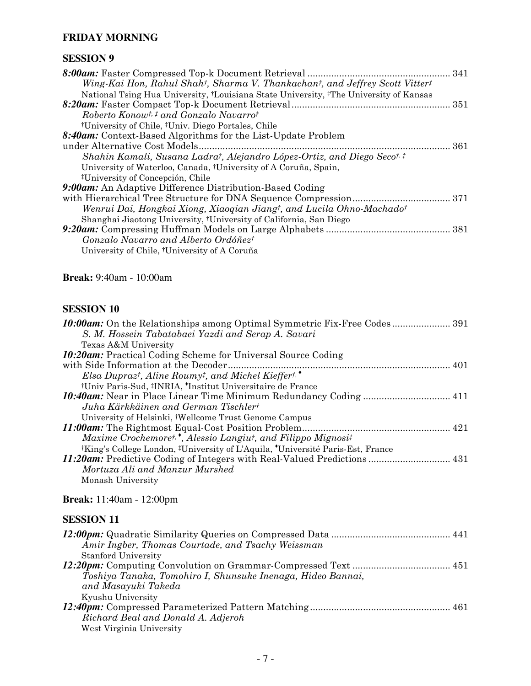### **FRIDAY MORNING**

### **SESSION 9**

| Wing-Kai Hon, Rahul Shah†, Sharma V. Thankachan†, and Jeffrey Scott Vitter‡                                   |     |
|---------------------------------------------------------------------------------------------------------------|-----|
| National Tsing Hua University, <sup>†</sup> Louisiana State University, <sup>‡</sup> The University of Kansas |     |
|                                                                                                               |     |
| Roberto Konow <sup>t, ‡</sup> and Gonzalo Navarrot                                                            |     |
| <sup>†</sup> University of Chile, <sup>‡</sup> Univ. Diego Portales, Chile                                    |     |
| 8:40am: Context-Based Algorithms for the List-Update Problem                                                  |     |
|                                                                                                               | 361 |
| Shahin Kamali, Susana Ladrat, Alejandro López-Ortiz, and Diego Secot. <sup>†</sup>                            |     |
| University of Waterloo, Canada, <sup>†</sup> University of A Coruña, Spain,                                   |     |
| <sup>‡</sup> University of Concepción, Chile                                                                  |     |
| <b>9:00am:</b> An Adaptive Difference Distribution-Based Coding                                               |     |
|                                                                                                               |     |
| Wenrui Dai, Hongkai Xiong, Xiaoqian Jiangt, and Lucila Ohno-Machadot                                          |     |
| Shanghai Jiaotong University, <sup>†</sup> University of California, San Diego                                |     |
|                                                                                                               |     |
| Gonzalo Navarro and Alberto Ordóñezt                                                                          |     |
| University of Chile, <sup>†</sup> University of A Coruña                                                      |     |
|                                                                                                               |     |

### **Break:** 9:40am - 10:00am

### **SESSION 10**

| <b>10:00am:</b> On the Relationships among Optimal Symmetric Fix-Free Codes 391 |
|---------------------------------------------------------------------------------|
|                                                                                 |
|                                                                                 |
|                                                                                 |
|                                                                                 |
|                                                                                 |
|                                                                                 |
|                                                                                 |
|                                                                                 |
|                                                                                 |
|                                                                                 |
|                                                                                 |
|                                                                                 |
|                                                                                 |
|                                                                                 |
|                                                                                 |
|                                                                                 |

### **Break:** 11:40am - 12:00pm

| Amir Ingber, Thomas Courtade, and Tsachy Weissman           |  |
|-------------------------------------------------------------|--|
| <b>Stanford University</b>                                  |  |
|                                                             |  |
| Toshiya Tanaka, Tomohiro I, Shunsuke Inenaga, Hideo Bannai, |  |
| and Masayuki Takeda                                         |  |
| Kyushu University                                           |  |
|                                                             |  |
| Richard Beal and Donald A. Adjeroh                          |  |
| West Virginia University                                    |  |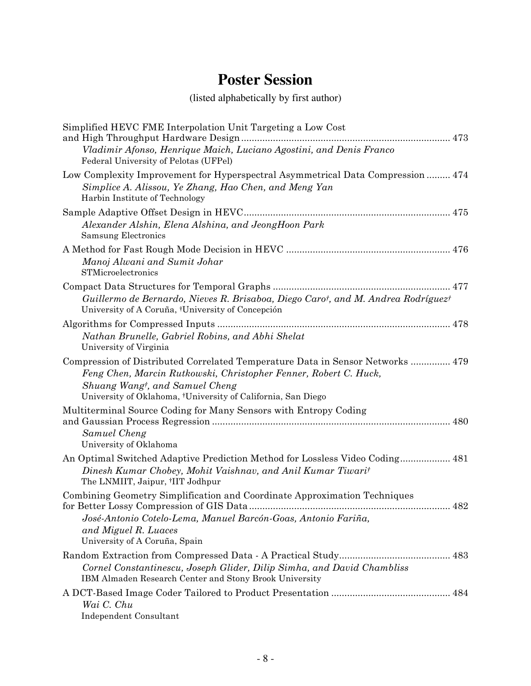# **Poster Session**

# (listed alphabetically by first author)

| Simplified HEVC FME Interpolation Unit Targeting a Low Cost<br>and High Throughput Hardware Design.<br>Vladimir Afonso, Henrique Maich, Luciano Agostini, and Denis Franco<br>Federal University of Pelotas (UFPel)                                  |
|------------------------------------------------------------------------------------------------------------------------------------------------------------------------------------------------------------------------------------------------------|
| Low Complexity Improvement for Hyperspectral Asymmetrical Data Compression  474<br>Simplice A. Alissou, Ye Zhang, Hao Chen, and Meng Yan<br>Harbin Institute of Technology                                                                           |
| Alexander Alshin, Elena Alshina, and JeongHoon Park<br><b>Samsung Electronics</b>                                                                                                                                                                    |
| Manoj Alwani and Sumit Johar<br>STMicroelectronics                                                                                                                                                                                                   |
| Guillermo de Bernardo, Nieves R. Brisaboa, Diego Carot, and M. Andrea Rodríguezt<br>University of A Coruña, †University of Concepción                                                                                                                |
| Nathan Brunelle, Gabriel Robins, and Abhi Shelat<br>University of Virginia                                                                                                                                                                           |
| Compression of Distributed Correlated Temperature Data in Sensor Networks  479<br>Feng Chen, Marcin Rutkowski, Christopher Fenner, Robert C. Huck,<br>Shuang Wangt, and Samuel Cheng<br>University of Oklahoma, †University of California, San Diego |
| Multiterminal Source Coding for Many Sensors with Entropy Coding<br>Samuel Cheng<br>University of Oklahoma                                                                                                                                           |
| An Optimal Switched Adaptive Prediction Method for Lossless Video Coding 481<br>Dinesh Kumar Chobey, Mohit Vaishnav, and Anil Kumar Tiwarit<br>The LNMIIT, Jaipur, <sup>†</sup> IIT Jodhpur                                                          |
| Combining Geometry Simplification and Coordinate Approximation Techniques<br>José-Antonio Cotelo-Lema, Manuel Barcón-Goas, Antonio Fariña,<br>and Miguel R. Luaces<br>University of A Coruña, Spain                                                  |
| Cornel Constantinescu, Joseph Glider, Dilip Simha, and David Chambliss<br>IBM Almaden Research Center and Stony Brook University                                                                                                                     |
| Wai C. Chu<br>Independent Consultant                                                                                                                                                                                                                 |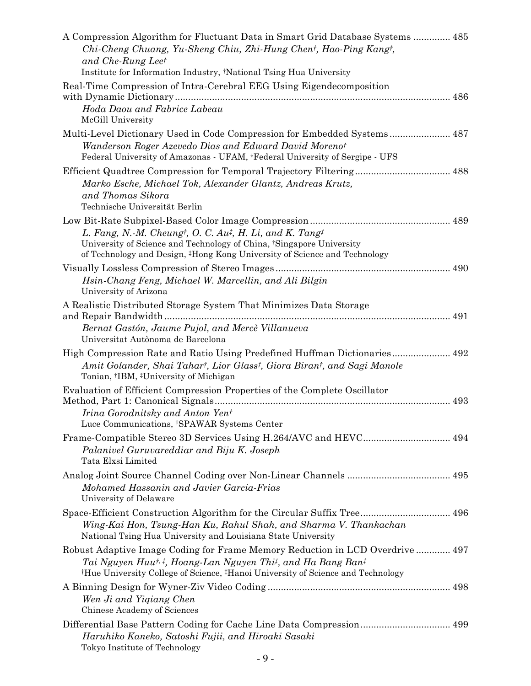| A Compression Algorithm for Fluctuant Data in Smart Grid Database Systems  485<br>Chi-Cheng Chuang, Yu-Sheng Chiu, Zhi-Hung Chent, Hao-Ping Kangt,<br>and Che-Rung Leet<br>Institute for Information Industry, †National Tsing Hua University                                                 |  |
|-----------------------------------------------------------------------------------------------------------------------------------------------------------------------------------------------------------------------------------------------------------------------------------------------|--|
| Real-Time Compression of Intra-Cerebral EEG Using Eigendecomposition                                                                                                                                                                                                                          |  |
| Hoda Daou and Fabrice Labeau<br>McGill University                                                                                                                                                                                                                                             |  |
| Multi-Level Dictionary Used in Code Compression for Embedded Systems 487                                                                                                                                                                                                                      |  |
| Wanderson Roger Azevedo Dias and Edward David Morenot<br>Federal University of Amazonas - UFAM, <sup>†</sup> Federal University of Sergipe - UFS                                                                                                                                              |  |
| Efficient Quadtree Compression for Temporal Trajectory Filtering 488                                                                                                                                                                                                                          |  |
| Marko Esche, Michael Tok, Alexander Glantz, Andreas Krutz,<br>and Thomas Sikora<br>Technische Universität Berlin                                                                                                                                                                              |  |
|                                                                                                                                                                                                                                                                                               |  |
| L. Fang, N.-M. Cheung <sup>†</sup> , O. C. Au <sup>‡</sup> , H. Li, and K. Tang <sup>‡</sup><br>University of Science and Technology of China, Singapore University<br>of Technology and Design, <sup>‡</sup> Hong Kong University of Science and Technology                                  |  |
|                                                                                                                                                                                                                                                                                               |  |
| Hsin-Chang Feng, Michael W. Marcellin, and Ali Bilgin<br>University of Arizona                                                                                                                                                                                                                |  |
| A Realistic Distributed Storage System That Minimizes Data Storage                                                                                                                                                                                                                            |  |
| Bernat Gastón, Jaume Pujol, and Mercè Villanueva<br>Universitat Autònoma de Barcelona                                                                                                                                                                                                         |  |
| High Compression Rate and Ratio Using Predefined Huffman Dictionaries 492<br>Amit Golander, Shai Tahart, Lior Glass <sup>†</sup> , Giora Birant, and Sagi Manole<br>Tonian, †IBM, ‡University of Michigan                                                                                     |  |
| Evaluation of Efficient Compression Properties of the Complete Oscillator                                                                                                                                                                                                                     |  |
| Irina Gorodnitsky and Anton Yent<br>Luce Communications, †SPAWAR Systems Center                                                                                                                                                                                                               |  |
| Frame-Compatible Stereo 3D Services Using H.264/AVC and HEVC 494<br>Palanivel Guruvareddiar and Biju K. Joseph<br>Tata Elxsi Limited                                                                                                                                                          |  |
|                                                                                                                                                                                                                                                                                               |  |
| Mohamed Hassanin and Javier Garcia-Frias<br>University of Delaware                                                                                                                                                                                                                            |  |
| Space-Efficient Construction Algorithm for the Circular Suffix Tree 496<br>Wing-Kai Hon, Tsung-Han Ku, Rahul Shah, and Sharma V. Thankachan<br>National Tsing Hua University and Louisiana State University                                                                                   |  |
| Robust Adaptive Image Coding for Frame Memory Reduction in LCD Overdrive  497<br>Tai Nguyen Huu <sup>†, ‡</sup> , Hoang-Lan Nguyen Thi <sup>†</sup> , and Ha Bang Ban <sup>‡</sup><br><sup>†</sup> Hue University College of Science, <sup>‡</sup> Hanoi University of Science and Technology |  |
| Wen Ji and Yiqiang Chen<br>Chinese Academy of Sciences                                                                                                                                                                                                                                        |  |
| Haruhiko Kaneko, Satoshi Fujii, and Hiroaki Sasaki<br>Tokyo Institute of Technology                                                                                                                                                                                                           |  |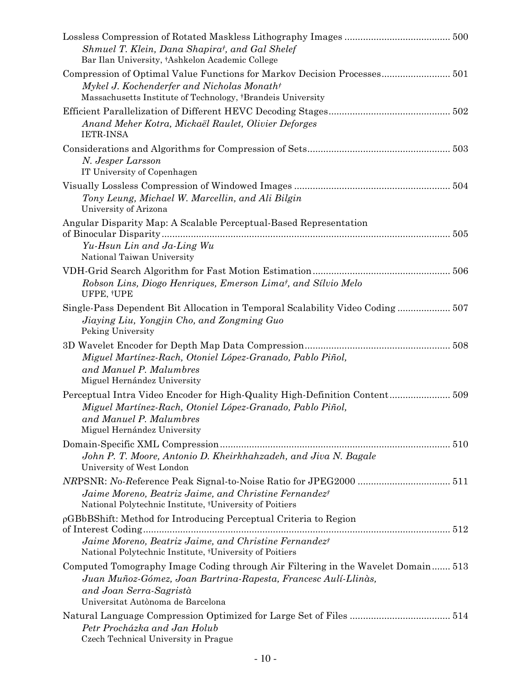| Shmuel T. Klein, Dana Shapirat, and Gal Shelef<br>Bar Ilan University, †Ashkelon Academic College                                                                                                 |
|---------------------------------------------------------------------------------------------------------------------------------------------------------------------------------------------------|
| Compression of Optimal Value Functions for Markov Decision Processes 501<br>Mykel J. Kochenderfer and Nicholas Monath <sup>†</sup><br>Massachusetts Institute of Technology, †Brandeis University |
| Anand Meher Kotra, Mickaël Raulet, Olivier Deforges<br><b>IETR-INSA</b>                                                                                                                           |
| N. Jesper Larsson<br>IT University of Copenhagen                                                                                                                                                  |
| Tony Leung, Michael W. Marcellin, and Ali Bilgin<br>University of Arizona                                                                                                                         |
| Angular Disparity Map: A Scalable Perceptual-Based Representation<br>Yu-Hsun Lin and Ja-Ling Wu                                                                                                   |
| National Taiwan University                                                                                                                                                                        |
| Robson Lins, Diogo Henriques, Emerson Lima <sup>†</sup> , and Sílvio Melo<br>UFPE, †UPE                                                                                                           |
| Single-Pass Dependent Bit Allocation in Temporal Scalability Video Coding 507<br>Jiaying Liu, Yongjin Cho, and Zongming Guo<br>Peking University                                                  |
| Miguel Martínez-Rach, Otoniel López-Granado, Pablo Piñol,<br>and Manuel P. Malumbres<br>Miguel Hernández University                                                                               |
| Perceptual Intra Video Encoder for High-Quality High-Definition Content509<br>Miguel Martínez-Rach, Otoniel López-Granado, Pablo Piñol,<br>and Manuel P. Malumbres<br>Miguel Hernández University |
| John P. T. Moore, Antonio D. Kheirkhahzadeh, and Jiva N. Bagale<br>University of West London                                                                                                      |
| Jaime Moreno, Beatriz Jaime, and Christine Fernandezt<br>National Polytechnic Institute, <sup>†</sup> University of Poitiers                                                                      |
| $\rho$ GBbBShift: Method for Introducing Perceptual Criteria to Region<br>of Interest Coding<br>Jaime Moreno, Beatriz Jaime, and Christine Fernandez <sup>†</sup>                                 |
| National Polytechnic Institute, †University of Poitiers                                                                                                                                           |
| Computed Tomography Image Coding through Air Filtering in the Wavelet Domain 513                                                                                                                  |
| Juan Muñoz-Gómez, Joan Bartrina-Rapesta, Francesc Aulí-Llinàs,                                                                                                                                    |
| and Joan Serra-Sagristà<br>Universitat Autònoma de Barcelona                                                                                                                                      |
|                                                                                                                                                                                                   |
| Petr Procházka and Jan Holub<br>Czech Technical University in Prague                                                                                                                              |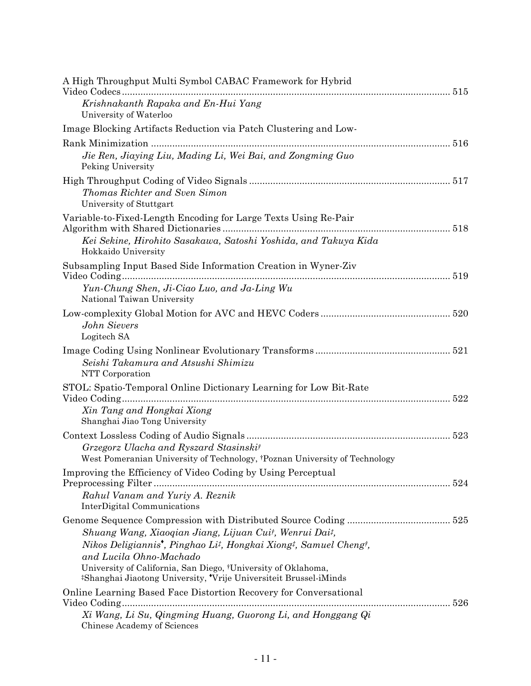| A High Throughput Multi Symbol CABAC Framework for Hybrid                                                                                                                                                                                                                                                                         |  |
|-----------------------------------------------------------------------------------------------------------------------------------------------------------------------------------------------------------------------------------------------------------------------------------------------------------------------------------|--|
| Krishnakanth Rapaka and En-Hui Yang<br>University of Waterloo                                                                                                                                                                                                                                                                     |  |
| Image Blocking Artifacts Reduction via Patch Clustering and Low-                                                                                                                                                                                                                                                                  |  |
|                                                                                                                                                                                                                                                                                                                                   |  |
| Jie Ren, Jiaying Liu, Mading Li, Wei Bai, and Zongming Guo<br>Peking University                                                                                                                                                                                                                                                   |  |
| Thomas Richter and Sven Simon<br>University of Stuttgart                                                                                                                                                                                                                                                                          |  |
| Variable-to-Fixed-Length Encoding for Large Texts Using Re-Pair<br>Kei Sekine, Hirohito Sasakawa, Satoshi Yoshida, and Takuya Kida                                                                                                                                                                                                |  |
| Hokkaido University<br>Subsampling Input Based Side Information Creation in Wyner-Ziv                                                                                                                                                                                                                                             |  |
| Yun-Chung Shen, Ji-Ciao Luo, and Ja-Ling Wu<br>National Taiwan University                                                                                                                                                                                                                                                         |  |
| John Sievers<br>Logitech SA                                                                                                                                                                                                                                                                                                       |  |
| Seishi Takamura and Atsushi Shimizu<br>NTT Corporation                                                                                                                                                                                                                                                                            |  |
| STOL: Spatio-Temporal Online Dictionary Learning for Low Bit-Rate<br>Xin Tang and Hongkai Xiong<br>Shanghai Jiao Tong University                                                                                                                                                                                                  |  |
| Grzegorz Ulacha and Ryszard Stasinskit<br>West Pomeranian University of Technology, †Poznan University of Technology                                                                                                                                                                                                              |  |
| Improving the Efficiency of Video Coding by Using Perceptual<br>Rahul Vanam and Yuriy A. Reznik<br>InterDigital Communications                                                                                                                                                                                                    |  |
| Shuang Wang, Xiaoqian Jiang, Lijuan Cuit, Wenrui Dait,<br>Nikos Deligiannis <sup>*</sup> , Pinghao Li <sup>†</sup> , Hongkai Xiong <sup>†</sup> , Samuel Cheng†,<br>and Lucila Ohno-Machado<br>University of California, San Diego, †University of Oklahoma,<br>#Shanghai Jiaotong University, 'Vrije Universiteit Brussel-iMinds |  |
| Online Learning Based Face Distortion Recovery for Conversational<br>Xi Wang, Li Su, Qingming Huang, Guorong Li, and Honggang Qi                                                                                                                                                                                                  |  |
| Chinese Academy of Sciences                                                                                                                                                                                                                                                                                                       |  |